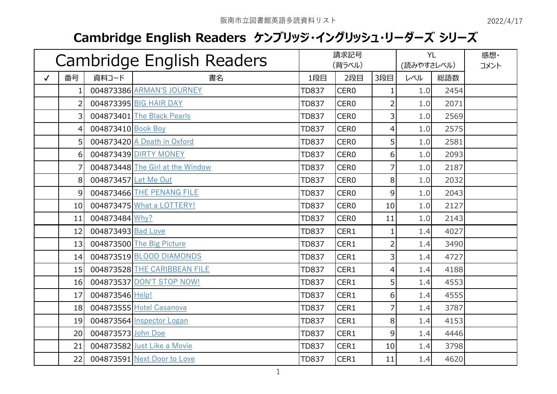## **Cambridge English Readers ケンブリッジ・イングリッシュ・リーダーズ シリーズ**

| Cambridge English Readers |                  |                      | 請求記号<br>(背ラベル)                   |              | <b>YL</b><br>(読みやすさレベル) |                  | 感想・<br>コメント |      |  |
|---------------------------|------------------|----------------------|----------------------------------|--------------|-------------------------|------------------|-------------|------|--|
| $\checkmark$              | 番号               | 資料コード                | 書名                               | 1段目          | 2段目                     | 3段目              | レベル         | 総語数  |  |
|                           |                  |                      | 004873386 ARMAN'S JOURNEY        | <b>TD837</b> | CER <sub>0</sub>        | $\mathbf{1}$     | 1.0         | 2454 |  |
|                           | $\overline{2}$   |                      | 004873395 BIG HAIR DAY           | <b>TD837</b> | CER <sub>0</sub>        | 2                | 1.0         | 2071 |  |
|                           | $\overline{3}$   |                      | 004873401 The Black Pearls       | <b>TD837</b> | CER <sub>0</sub>        | $\overline{3}$   | 1.0         | 2569 |  |
|                           | $\vert 4 \vert$  | 004873410 Book Boy   |                                  | <b>TD837</b> | CER <sub>0</sub>        | $\overline{4}$   | 1.0         | 2575 |  |
|                           | 5 <sup>1</sup>   |                      | 004873420 A Death in Oxford      | <b>TD837</b> | CER <sub>0</sub>        | 5                | 1.0         | 2581 |  |
|                           | $6 \overline{6}$ |                      | 004873439 DIRTY MONEY            | <b>TD837</b> | CER <sub>0</sub>        | $6 \overline{6}$ | 1.0         | 2093 |  |
|                           | $\overline{7}$   |                      | 004873448 The Girl at the Window | <b>TD837</b> | CER <sub>0</sub>        | 7                | 1.0         | 2187 |  |
|                           | 8                | 004873457 Let Me Out |                                  | <b>TD837</b> | CER <sub>0</sub>        | 8                | 1.0         | 2032 |  |
|                           | 9                |                      | 004873466 THE PENANG FILE        | <b>TD837</b> | CER <sub>0</sub>        | $\overline{9}$   | 1.0         | 2043 |  |
|                           | 10               |                      | 004873475 What a LOTTERY!        | <b>TD837</b> | CER <sub>0</sub>        | 10               | 1.0         | 2127 |  |
|                           | 11               | 004873484 Why?       |                                  | <b>TD837</b> | CER <sub>0</sub>        | 11               | 1.0         | 2143 |  |
|                           | 12               | 004873493 Bad Love   |                                  | <b>TD837</b> | CER1                    | $\mathbf{1}$     | 1.4         | 4027 |  |
|                           | 13               |                      | 004873500 The Big Picture        | <b>TD837</b> | CER1                    | $\overline{2}$   | 1.4         | 3490 |  |
|                           | 14               |                      | 004873519 BLOOD DIAMONDS         | <b>TD837</b> | CER1                    | $\overline{3}$   | 1.4         | 4727 |  |
|                           | 15               |                      | 004873528 THE CARIBBEAN FILE     | <b>TD837</b> | CER1                    | $\overline{4}$   | 1.4         | 4188 |  |
|                           | 16               |                      | 004873537 DON'T STOP NOW!        | <b>TD837</b> | CER1                    | $\overline{5}$   | 1.4         | 4553 |  |
|                           | 17               | 004873546 Help!      |                                  | <b>TD837</b> | CER1                    | $6 \overline{6}$ | 1.4         | 4555 |  |
|                           | 18               |                      | 004873555 Hotel Casanova         | <b>TD837</b> | CER1                    | 7                | 1.4         | 3787 |  |
|                           | 19               |                      | 004873564 Inspector Logan        | <b>TD837</b> | CER1                    | 8                | 1.4         | 4153 |  |
|                           | 20               | 004873573 John Doe   |                                  | <b>TD837</b> | CER1                    | 9                | 1.4         | 4446 |  |
|                           | 21               |                      | 004873582 Just Like a Movie      | <b>TD837</b> | CER1                    | 10               | 1.4         | 3798 |  |
|                           | 22               |                      | 004873591 Next Door to Love      | <b>TD837</b> | CER1                    | 11               | 1.4         | 4620 |  |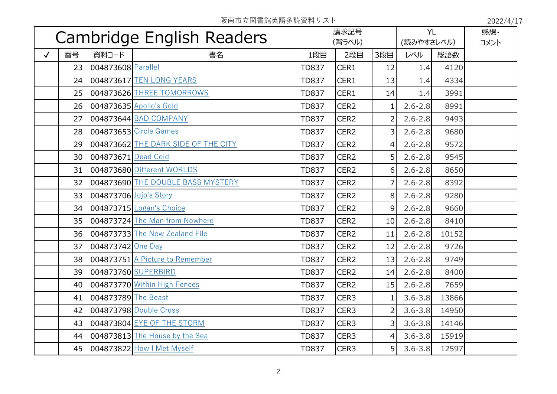阪南市立図書館英語多読資料リスト 2022/4/17

| Cambridge English Readers |                 |                        | 請求記号<br>(背ラベル)                      |              | <b>YL</b><br>(読みやすさレベル) |                | 感想·<br>コメント |       |  |
|---------------------------|-----------------|------------------------|-------------------------------------|--------------|-------------------------|----------------|-------------|-------|--|
| $\checkmark$              | 番号              | 資料コード                  | 書名                                  | 1段目          | 2段目                     | 3段目            | レベル         | 総語数   |  |
|                           | 23              | 004873608 Parallel     |                                     | <b>TD837</b> | CER1                    | 12             | 1.4         | 4120  |  |
|                           | 24              |                        | 004873617 TEN LONG YEARS            | <b>TD837</b> | CER1                    | 13             | 1.4         | 4334  |  |
|                           | 25              |                        | 004873626 THREE TOMORROWS           | <b>TD837</b> | CER1                    | 14             | 1.4         | 3991  |  |
|                           | 26              |                        | 004873635 Apollo's Gold             | <b>TD837</b> | CER <sub>2</sub>        |                | $2.6 - 2.8$ | 8991  |  |
|                           | 27              |                        | 004873644 BAD COMPANY               | <b>TD837</b> | CER <sub>2</sub>        | 2              | $2.6 - 2.8$ | 9493  |  |
|                           | 28              |                        | 004873653 Circle Games              | <b>TD837</b> | CER <sub>2</sub>        | 3              | $2.6 - 2.8$ | 9680  |  |
|                           | 29              |                        | 004873662 THE DARK SIDE OF THE CITY | <b>TD837</b> | CER <sub>2</sub>        | $\overline{4}$ | $2.6 - 2.8$ | 9572  |  |
|                           | 30 <sup>1</sup> | 004873671 Dead Cold    |                                     | <b>TD837</b> | CER <sub>2</sub>        | 5              | $2.6 - 2.8$ | 9545  |  |
|                           | 31              |                        | 004873680 Different WORLDS          | <b>TD837</b> | CER <sub>2</sub>        | $\overline{6}$ | $2.6 - 2.8$ | 8650  |  |
|                           | 32              |                        | 004873690 THE DOUBLE BASS MYSTERY   | <b>TD837</b> | CER <sub>2</sub>        | 7              | $2.6 - 2.8$ | 8392  |  |
|                           | 33              | 004873706 Jojo's Story |                                     | <b>TD837</b> | CER <sub>2</sub>        | 8              | $2.6 - 2.8$ | 9280  |  |
|                           | 34              |                        | 004873715 Logan's Choice            | <b>TD837</b> | CER <sub>2</sub>        | 9              | $2.6 - 2.8$ | 9660  |  |
|                           | 35              |                        | 004873724 The Man from Nowhere      | <b>TD837</b> | CER <sub>2</sub>        | 10             | $2.6 - 2.8$ | 8410  |  |
|                           | 36              |                        | 004873733 The New Zealand File      | <b>TD837</b> | CER <sub>2</sub>        | 11             | $2.6 - 2.8$ | 10152 |  |
|                           | 37              | 004873742 One Day      |                                     | <b>TD837</b> | CER <sub>2</sub>        | 12             | $2.6 - 2.8$ | 9726  |  |
|                           | 38              |                        | 004873751 A Picture to Remember     | <b>TD837</b> | CER <sub>2</sub>        | 13             | $2.6 - 2.8$ | 9749  |  |
|                           | 39              |                        | 004873760 SUPERBIRD                 | <b>TD837</b> | CER <sub>2</sub>        | 14             | $2.6 - 2.8$ | 8400  |  |
|                           | 40 <sub>l</sub> |                        | 004873770 Within High Fences        | <b>TD837</b> | CER <sub>2</sub>        | 15             | $2.6 - 2.8$ | 7659  |  |
|                           | 41              | 004873789 The Beast    |                                     | <b>TD837</b> | CER <sub>3</sub>        |                | $3.6 - 3.8$ | 13866 |  |
|                           | 42              |                        | 004873798 Double Cross              | <b>TD837</b> | CER3                    | $\overline{2}$ | $3.6 - 3.8$ | 14950 |  |
|                           | 43              |                        | 004873804 EYE OF THE STORM          | <b>TD837</b> | CER <sub>3</sub>        | $\overline{3}$ | $3.6 - 3.8$ | 14146 |  |
|                           | 44              |                        | 004873813 The House by the Sea      | <b>TD837</b> | CER <sub>3</sub>        | $\overline{4}$ | $3.6 - 3.8$ | 15919 |  |
|                           | 45              |                        | 004873822 How I Met Myself          | <b>TD837</b> | CER <sub>3</sub>        | 5 <sup>1</sup> | $3.6 - 3.8$ | 12597 |  |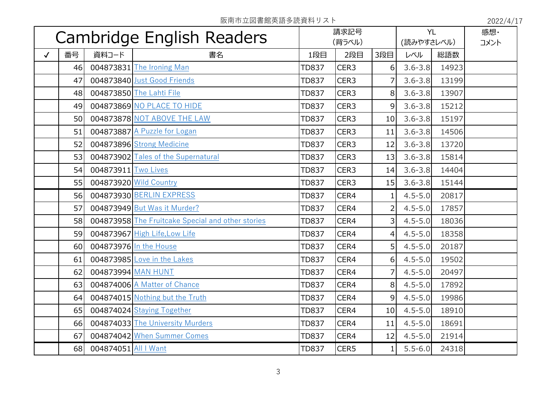阪南市立図書館英語多読資料リスト 2022/4/17

| Cambridge English Readers |    |                      | 請求記号                                              |              | <b>YL</b>        |                | 感想·         |       |  |
|---------------------------|----|----------------------|---------------------------------------------------|--------------|------------------|----------------|-------------|-------|--|
|                           |    |                      | (背ラベル)                                            |              | (読みやすさレベル)       |                | コメント        |       |  |
| $\checkmark$              | 番号 | 資料コード                | 書名                                                | 1段目          | 2段目              | 3段目            | レベル         | 総語数   |  |
|                           | 46 |                      | 004873831 The Ironing Man                         | <b>TD837</b> | CER <sub>3</sub> | 6              | $3.6 - 3.8$ | 14923 |  |
|                           | 47 |                      | 004873840 Just Good Friends                       | <b>TD837</b> | CER <sub>3</sub> | 7              | $3.6 - 3.8$ | 13199 |  |
|                           | 48 |                      | 004873850 The Lahti File                          | <b>TD837</b> | CER <sub>3</sub> | 8              | $3.6 - 3.8$ | 13907 |  |
|                           | 49 |                      | 004873869 NO PLACE TO HIDE                        | <b>TD837</b> | CER <sub>3</sub> | 9              | $3.6 - 3.8$ | 15212 |  |
|                           | 50 |                      | 004873878 NOT ABOVE THE LAW                       | <b>TD837</b> | CER <sub>3</sub> | 10             | $3.6 - 3.8$ | 15197 |  |
|                           | 51 |                      | 004873887 A Puzzle for Logan                      | <b>TD837</b> | CER <sub>3</sub> | 11             | $3.6 - 3.8$ | 14506 |  |
|                           | 52 |                      | 004873896 Strong Medicine                         | <b>TD837</b> | CER <sub>3</sub> | 12             | $3.6 - 3.8$ | 13720 |  |
|                           | 53 |                      | 004873902 Tales of the Supernatural               | <b>TD837</b> | CER <sub>3</sub> | 13             | $3.6 - 3.8$ | 15814 |  |
|                           | 54 | 004873911 Two Lives  |                                                   | <b>TD837</b> | CER3             | 14             | $3.6 - 3.8$ | 14404 |  |
|                           | 55 |                      | 004873920 Wild Country                            | <b>TD837</b> | CER3             | 15             | $3.6 - 3.8$ | 15144 |  |
|                           | 56 |                      | 004873930 BERLIN EXPRESS                          | <b>TD837</b> | CER4             | 1              | $4.5 - 5.0$ | 20817 |  |
|                           | 57 |                      | 004873949 But Was it Murder?                      | <b>TD837</b> | CER4             | $\overline{2}$ | $4.5 - 5.0$ | 17857 |  |
|                           | 58 |                      | 004873958 The Fruitcake Special and other stories | <b>TD837</b> | CER4             | 3              | $4.5 - 5.0$ | 18036 |  |
|                           | 59 |                      | 004873967 High Life, Low Life                     | <b>TD837</b> | CER4             | 4              | $4.5 - 5.0$ | 18358 |  |
|                           | 60 |                      | 004873976 In the House                            | <b>TD837</b> | CER4             | 5              | $4.5 - 5.0$ | 20187 |  |
|                           | 61 |                      | 004873985 Love in the Lakes                       | <b>TD837</b> | CER4             | 6              | $4.5 - 5.0$ | 19502 |  |
|                           | 62 | 004873994 MAN HUNT   |                                                   | <b>TD837</b> | CER4             |                | $4.5 - 5.0$ | 20497 |  |
|                           | 63 |                      | 004874006 A Matter of Chance                      | <b>TD837</b> | CER4             | 8 <sup>1</sup> | $4.5 - 5.0$ | 17892 |  |
|                           | 64 |                      | 004874015 Nothing but the Truth                   | <b>TD837</b> | CER4             | 9              | $4.5 - 5.0$ | 19986 |  |
|                           | 65 |                      | 004874024 Staying Together                        | <b>TD837</b> | CER4             | 10             | $4.5 - 5.0$ | 18910 |  |
|                           | 66 |                      | 004874033 The University Murders                  | <b>TD837</b> | CER4             | 11             | $4.5 - 5.0$ | 18691 |  |
|                           | 67 |                      | 004874042 When Summer Comes                       | <b>TD837</b> | CER4             | 12             | $4.5 - 5.0$ | 21914 |  |
|                           | 68 | 004874051 All I Want |                                                   | <b>TD837</b> | CER5             | 1 <sup>1</sup> | $5.5 - 6.0$ | 24318 |  |